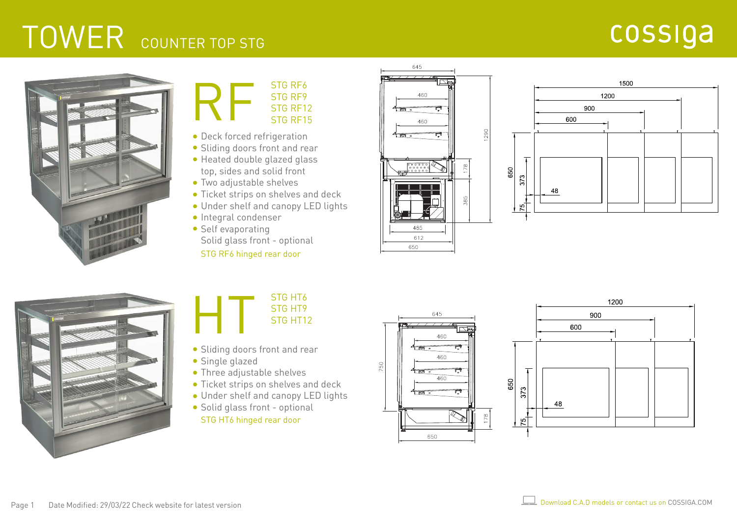### TOWER COUNTER TOP STG

#### cossiga



#### STG RF6 STG RF9 STG RF12 STG RF15 RF

- Deck forced refrigeration
- Sliding doors front and rear
- Heated double glazed glass top, sides and solid front
- Two adjustable shelves
- Ticket strips on shelves and deck
- Under shelf and canopy LED lights
- **Integral condenser** • Self evaporating

Solid glass front - optional STG RF6 hinged rear door









- Sliding doors front and rear
- Single glazed
- Three adjustable shelves
- **Ticket strips on shelves and deck**
- Under shelf and canopy LED lights
- Solid glass front optional STG HT6 hinged rear door



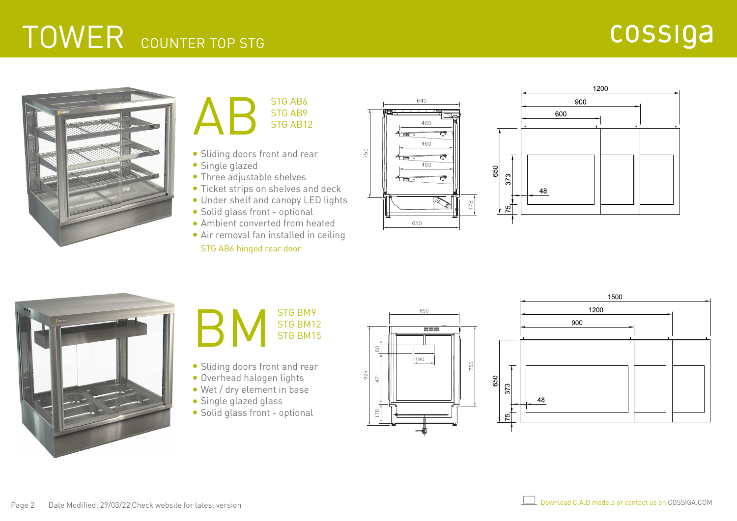# TOWER COUNTER TOP STG







- Sliding doors front and rear
- Single glazed
- Three adjustable shelves
- Ticket strips on shelves and deck
- Under shelf and canopy LED lights
- Solid glass front optional
- Ambient converted from heated
- Air removal fan installed in ceiling STG AB6 hinged rear door







- Sliding doors front and rear
- Overhead halogen lights
- Wet / dry element in base
- Single glazed glass
- Solid glass front optional



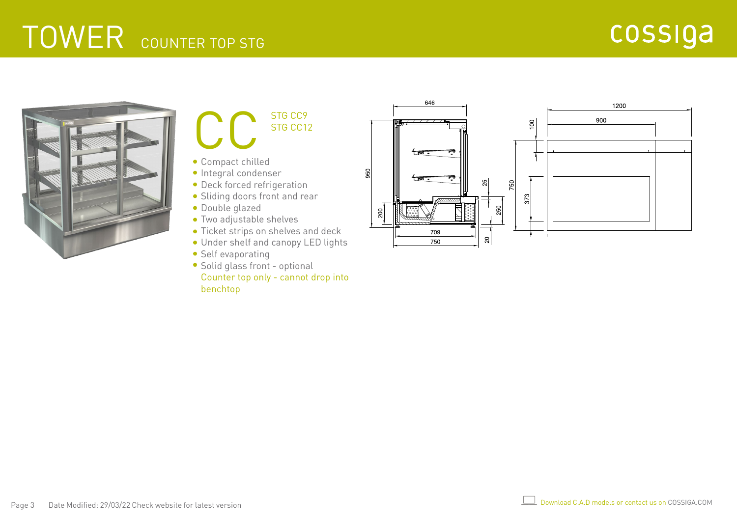# TOWER COUNTER TOP STG





#### CC STG CC12 STG CC12

- Compact chilled
- · Integral condenser
- Deck forced refrigeration
- Sliding doors front and rear
- Double glazed
- Two adjustable shelves
- Ticket strips on shelves and deck
- Under shelf and canopy LED lights
- **Self evaporating**
- Solid glass front optional Counter top only - cannot drop into benchtop